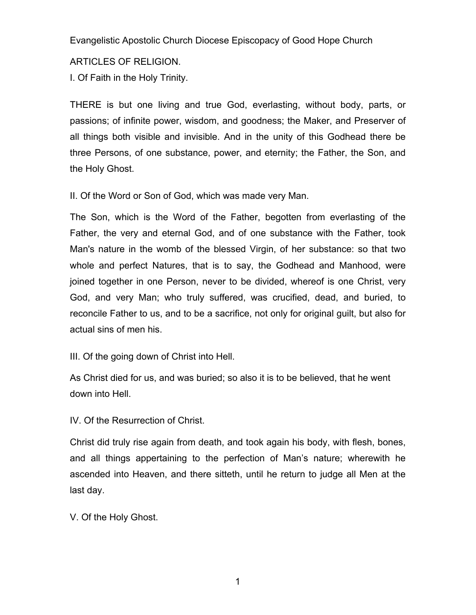Evangelistic Apostolic Church Diocese Episcopacy of Good Hope Church

ARTICLES OF RELIGION.

I. Of Faith in the Holy Trinity.

THERE is but one living and true God, everlasting, without body, parts, or passions; of infinite power, wisdom, and goodness; the Maker, and Preserver of all things both visible and invisible. And in the unity of this Godhead there be three Persons, of one substance, power, and eternity; the Father, the Son, and the Holy Ghost.

II. Of the Word or Son of God, which was made very Man.

The Son, which is the Word of the Father, begotten from everlasting of the Father, the very and eternal God, and of one substance with the Father, took Man's nature in the womb of the blessed Virgin, of her substance: so that two whole and perfect Natures, that is to say, the Godhead and Manhood, were joined together in one Person, never to be divided, whereof is one Christ, very God, and very Man; who truly suffered, was crucified, dead, and buried, to reconcile Father to us, and to be a sacrifice, not only for original guilt, but also for actual sins of men his.

III. Of the going down of Christ into Hell.

As Christ died for us, and was buried; so also it is to be believed, that he went down into Hell.

IV. Of the Resurrection of Christ.

Christ did truly rise again from death, and took again his body, with flesh, bones, and all things appertaining to the perfection of Man's nature; wherewith he ascended into Heaven, and there sitteth, until he return to judge all Men at the last day.

V. Of the Holy Ghost.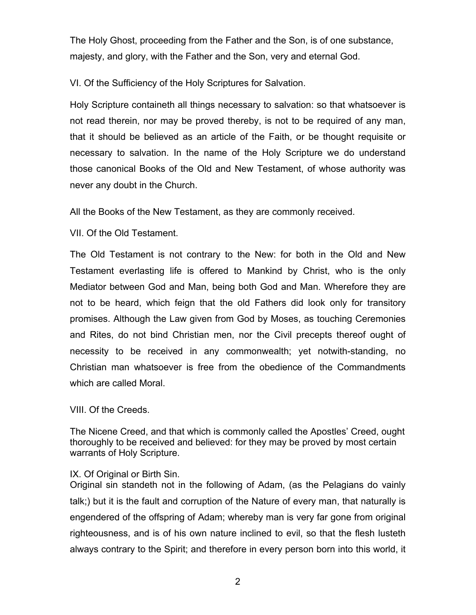The Holy Ghost, proceeding from the Father and the Son, is of one substance, majesty, and glory, with the Father and the Son, very and eternal God.

VI. Of the Sufficiency of the Holy Scriptures for Salvation.

Holy Scripture containeth all things necessary to salvation: so that whatsoever is not read therein, nor may be proved thereby, is not to be required of any man, that it should be believed as an article of the Faith, or be thought requisite or necessary to salvation. In the name of the Holy Scripture we do understand those canonical Books of the Old and New Testament, of whose authority was never any doubt in the Church.

All the Books of the New Testament, as they are commonly received.

VII. Of the Old Testament.

The Old Testament is not contrary to the New: for both in the Old and New Testament everlasting life is offered to Mankind by Christ, who is the only Mediator between God and Man, being both God and Man. Wherefore they are not to be heard, which feign that the old Fathers did look only for transitory promises. Although the Law given from God by Moses, as touching Ceremonies and Rites, do not bind Christian men, nor the Civil precepts thereof ought of necessity to be received in any commonwealth; yet notwith-standing, no Christian man whatsoever is free from the obedience of the Commandments which are called Moral.

VIII. Of the Creeds.

The Nicene Creed, and that which is commonly called the Apostles' Creed, ought thoroughly to be received and believed: for they may be proved by most certain warrants of Holy Scripture.

IX. Of Original or Birth Sin.

Original sin standeth not in the following of Adam, (as the Pelagians do vainly talk;) but it is the fault and corruption of the Nature of every man, that naturally is engendered of the offspring of Adam; whereby man is very far gone from original righteousness, and is of his own nature inclined to evil, so that the flesh lusteth always contrary to the Spirit; and therefore in every person born into this world, it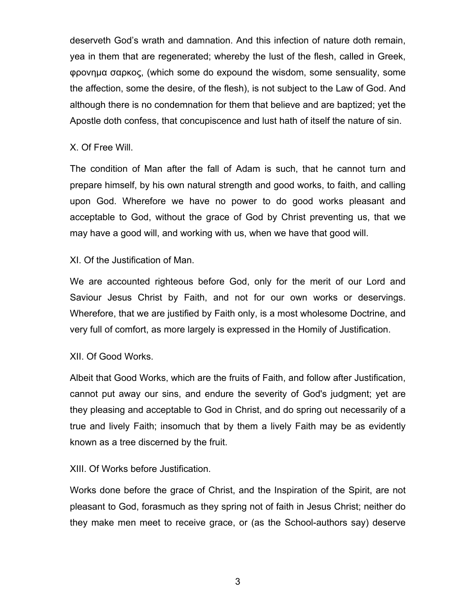deserveth God's wrath and damnation. And this infection of nature doth remain, yea in them that are regenerated; whereby the lust of the flesh, called in Greek, φρονημα σαρκος, (which some do expound the wisdom, some sensuality, some the affection, some the desire, of the flesh), is not subject to the Law of God. And although there is no condemnation for them that believe and are baptized; yet the Apostle doth confess, that concupiscence and lust hath of itself the nature of sin.

## X. Of Free Will.

The condition of Man after the fall of Adam is such, that he cannot turn and prepare himself, by his own natural strength and good works, to faith, and calling upon God. Wherefore we have no power to do good works pleasant and acceptable to God, without the grace of God by Christ preventing us, that we may have a good will, and working with us, when we have that good will.

# XI. Of the Justification of Man.

We are accounted righteous before God, only for the merit of our Lord and Saviour Jesus Christ by Faith, and not for our own works or deservings. Wherefore, that we are justified by Faith only, is a most wholesome Doctrine, and very full of comfort, as more largely is expressed in the Homily of Justification.

### XII. Of Good Works.

Albeit that Good Works, which are the fruits of Faith, and follow after Justification, cannot put away our sins, and endure the severity of God's judgment; yet are they pleasing and acceptable to God in Christ, and do spring out necessarily of a true and lively Faith; insomuch that by them a lively Faith may be as evidently known as a tree discerned by the fruit.

# XIII. Of Works before Justification.

Works done before the grace of Christ, and the Inspiration of the Spirit, are not pleasant to God, forasmuch as they spring not of faith in Jesus Christ; neither do they make men meet to receive grace, or (as the School-authors say) deserve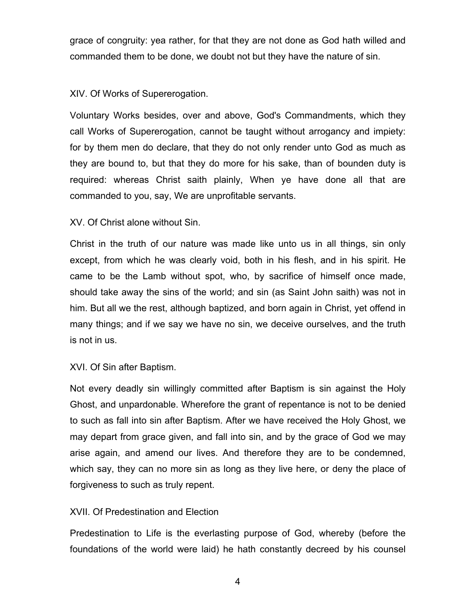grace of congruity: yea rather, for that they are not done as God hath willed and commanded them to be done, we doubt not but they have the nature of sin.

### XIV. Of Works of Supererogation.

Voluntary Works besides, over and above, God's Commandments, which they call Works of Supererogation, cannot be taught without arrogancy and impiety: for by them men do declare, that they do not only render unto God as much as they are bound to, but that they do more for his sake, than of bounden duty is required: whereas Christ saith plainly, When ye have done all that are commanded to you, say, We are unprofitable servants.

### XV. Of Christ alone without Sin.

Christ in the truth of our nature was made like unto us in all things, sin only except, from which he was clearly void, both in his flesh, and in his spirit. He came to be the Lamb without spot, who, by sacrifice of himself once made, should take away the sins of the world; and sin (as Saint John saith) was not in him. But all we the rest, although baptized, and born again in Christ, yet offend in many things; and if we say we have no sin, we deceive ourselves, and the truth is not in us.

### XVI. Of Sin after Baptism.

Not every deadly sin willingly committed after Baptism is sin against the Holy Ghost, and unpardonable. Wherefore the grant of repentance is not to be denied to such as fall into sin after Baptism. After we have received the Holy Ghost, we may depart from grace given, and fall into sin, and by the grace of God we may arise again, and amend our lives. And therefore they are to be condemned, which say, they can no more sin as long as they live here, or deny the place of forgiveness to such as truly repent.

#### XVII. Of Predestination and Election

Predestination to Life is the everlasting purpose of God, whereby (before the foundations of the world were laid) he hath constantly decreed by his counsel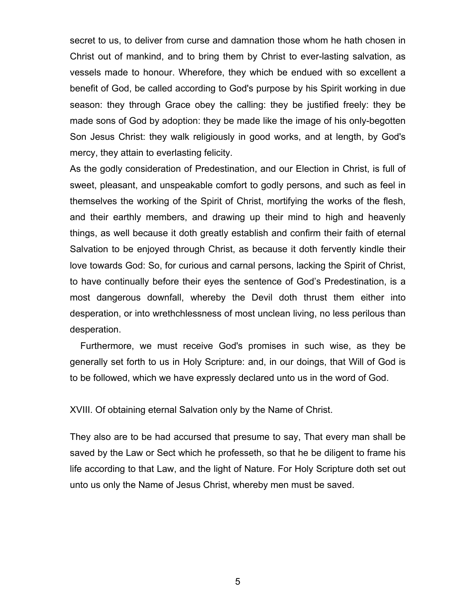secret to us, to deliver from curse and damnation those whom he hath chosen in Christ out of mankind, and to bring them by Christ to ever-lasting salvation, as vessels made to honour. Wherefore, they which be endued with so excellent a benefit of God, be called according to God's purpose by his Spirit working in due season: they through Grace obey the calling: they be justified freely: they be made sons of God by adoption: they be made like the image of his only-begotten Son Jesus Christ: they walk religiously in good works, and at length, by God's mercy, they attain to everlasting felicity.

As the godly consideration of Predestination, and our Election in Christ, is full of sweet, pleasant, and unspeakable comfort to godly persons, and such as feel in themselves the working of the Spirit of Christ, mortifying the works of the flesh, and their earthly members, and drawing up their mind to high and heavenly things, as well because it doth greatly establish and confirm their faith of eternal Salvation to be enjoyed through Christ, as because it doth fervently kindle their love towards God: So, for curious and carnal persons, lacking the Spirit of Christ, to have continually before their eyes the sentence of God's Predestination, is a most dangerous downfall, whereby the Devil doth thrust them either into desperation, or into wrethchlessness of most unclean living, no less perilous than desperation.

 Furthermore, we must receive God's promises in such wise, as they be generally set forth to us in Holy Scripture: and, in our doings, that Will of God is to be followed, which we have expressly declared unto us in the word of God.

XVIII. Of obtaining eternal Salvation only by the Name of Christ.

They also are to be had accursed that presume to say, That every man shall be saved by the Law or Sect which he professeth, so that he be diligent to frame his life according to that Law, and the light of Nature. For Holy Scripture doth set out unto us only the Name of Jesus Christ, whereby men must be saved.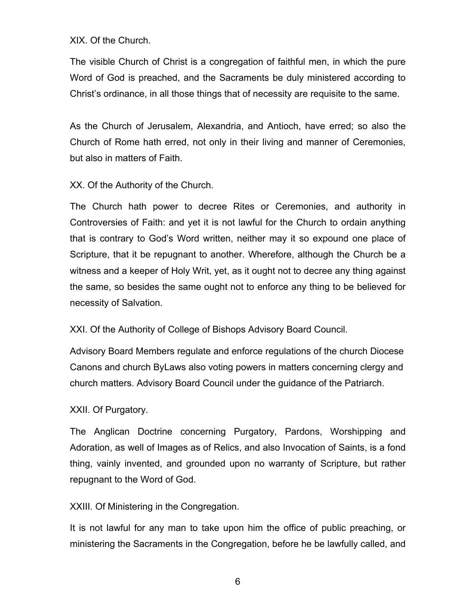XIX. Of the Church.

The visible Church of Christ is a congregation of faithful men, in which the pure Word of God is preached, and the Sacraments be duly ministered according to Christ's ordinance, in all those things that of necessity are requisite to the same.

As the Church of Jerusalem, Alexandria, and Antioch, have erred; so also the Church of Rome hath erred, not only in their living and manner of Ceremonies, but also in matters of Faith.

XX. Of the Authority of the Church.

The Church hath power to decree Rites or Ceremonies, and authority in Controversies of Faith: and yet it is not lawful for the Church to ordain anything that is contrary to God's Word written, neither may it so expound one place of Scripture, that it be repugnant to another. Wherefore, although the Church be a witness and a keeper of Holy Writ, yet, as it ought not to decree any thing against the same, so besides the same ought not to enforce any thing to be believed for necessity of Salvation.

XXI. Of the Authority of College of Bishops Advisory Board Council.

Advisory Board Members regulate and enforce regulations of the church Diocese Canons and church ByLaws also voting powers in matters concerning clergy and church matters. Advisory Board Council under the guidance of the Patriarch.

XXII. Of Purgatory.

The Anglican Doctrine concerning Purgatory, Pardons, Worshipping and Adoration, as well of Images as of Relics, and also Invocation of Saints, is a fond thing, vainly invented, and grounded upon no warranty of Scripture, but rather repugnant to the Word of God.

XXIII. Of Ministering in the Congregation.

It is not lawful for any man to take upon him the office of public preaching, or ministering the Sacraments in the Congregation, before he be lawfully called, and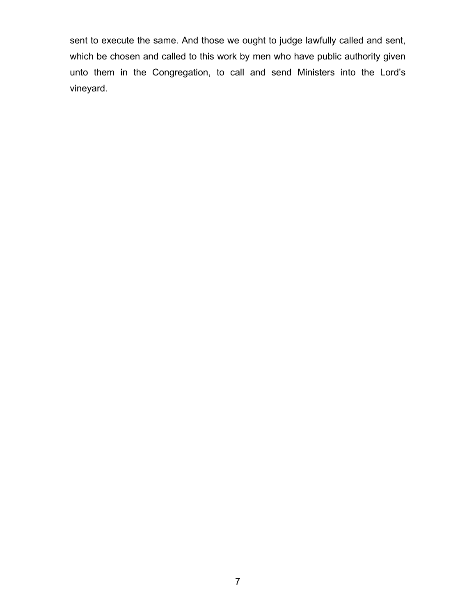sent to execute the same. And those we ought to judge lawfully called and sent, which be chosen and called to this work by men who have public authority given unto them in the Congregation, to call and send Ministers into the Lord's vineyard.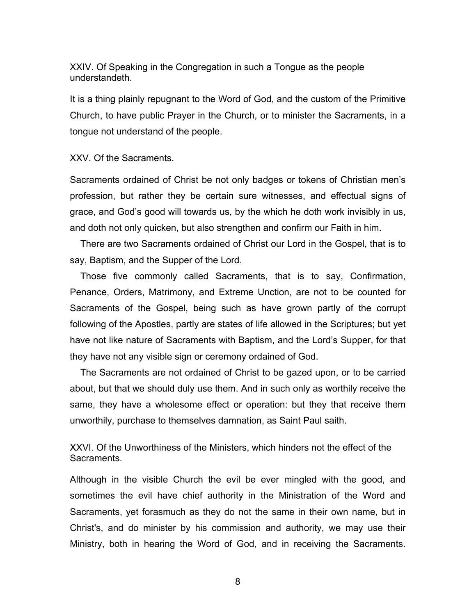XXIV. Of Speaking in the Congregation in such a Tongue as the people understandeth.

It is a thing plainly repugnant to the Word of God, and the custom of the Primitive Church, to have public Prayer in the Church, or to minister the Sacraments, in a tongue not understand of the people.

XXV. Of the Sacraments.

Sacraments ordained of Christ be not only badges or tokens of Christian men's profession, but rather they be certain sure witnesses, and effectual signs of grace, and God's good will towards us, by the which he doth work invisibly in us, and doth not only quicken, but also strengthen and confirm our Faith in him.

 There are two Sacraments ordained of Christ our Lord in the Gospel, that is to say, Baptism, and the Supper of the Lord.

 Those five commonly called Sacraments, that is to say, Confirmation, Penance, Orders, Matrimony, and Extreme Unction, are not to be counted for Sacraments of the Gospel, being such as have grown partly of the corrupt following of the Apostles, partly are states of life allowed in the Scriptures; but yet have not like nature of Sacraments with Baptism, and the Lord's Supper, for that they have not any visible sign or ceremony ordained of God.

 The Sacraments are not ordained of Christ to be gazed upon, or to be carried about, but that we should duly use them. And in such only as worthily receive the same, they have a wholesome effect or operation: but they that receive them unworthily, purchase to themselves damnation, as Saint Paul saith.

XXVI. Of the Unworthiness of the Ministers, which hinders not the effect of the Sacraments.

Although in the visible Church the evil be ever mingled with the good, and sometimes the evil have chief authority in the Ministration of the Word and Sacraments, yet forasmuch as they do not the same in their own name, but in Christ's, and do minister by his commission and authority, we may use their Ministry, both in hearing the Word of God, and in receiving the Sacraments.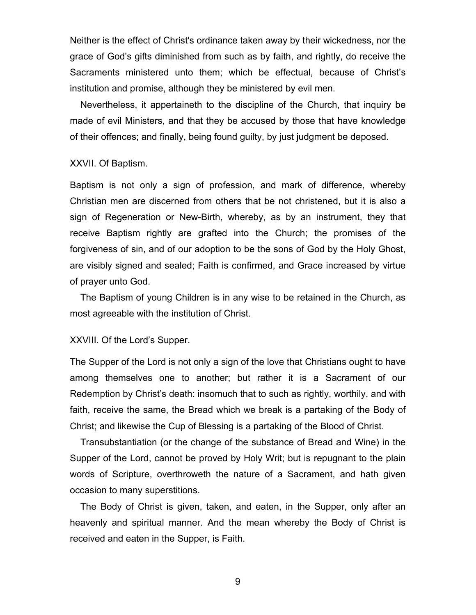Neither is the effect of Christ's ordinance taken away by their wickedness, nor the grace of God's gifts diminished from such as by faith, and rightly, do receive the Sacraments ministered unto them; which be effectual, because of Christ's institution and promise, although they be ministered by evil men.

 Nevertheless, it appertaineth to the discipline of the Church, that inquiry be made of evil Ministers, and that they be accused by those that have knowledge of their offences; and finally, being found guilty, by just judgment be deposed.

#### XXVII. Of Baptism.

Baptism is not only a sign of profession, and mark of difference, whereby Christian men are discerned from others that be not christened, but it is also a sign of Regeneration or New-Birth, whereby, as by an instrument, they that receive Baptism rightly are grafted into the Church; the promises of the forgiveness of sin, and of our adoption to be the sons of God by the Holy Ghost, are visibly signed and sealed; Faith is confirmed, and Grace increased by virtue of prayer unto God.

 The Baptism of young Children is in any wise to be retained in the Church, as most agreeable with the institution of Christ.

#### XXVIII. Of the Lord's Supper.

The Supper of the Lord is not only a sign of the love that Christians ought to have among themselves one to another; but rather it is a Sacrament of our Redemption by Christ's death: insomuch that to such as rightly, worthily, and with faith, receive the same, the Bread which we break is a partaking of the Body of Christ; and likewise the Cup of Blessing is a partaking of the Blood of Christ.

 Transubstantiation (or the change of the substance of Bread and Wine) in the Supper of the Lord, cannot be proved by Holy Writ; but is repugnant to the plain words of Scripture, overthroweth the nature of a Sacrament, and hath given occasion to many superstitions.

 The Body of Christ is given, taken, and eaten, in the Supper, only after an heavenly and spiritual manner. And the mean whereby the Body of Christ is received and eaten in the Supper, is Faith.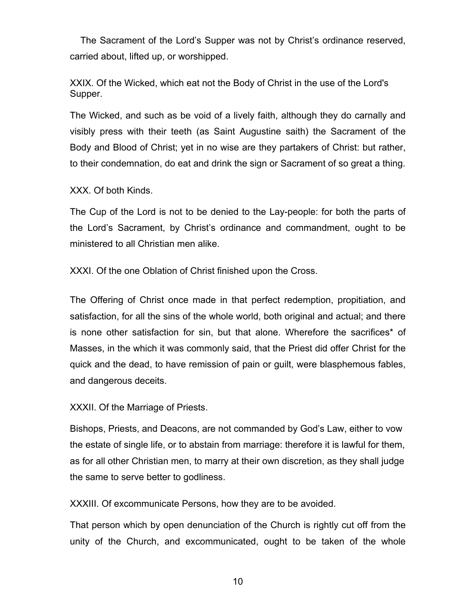The Sacrament of the Lord's Supper was not by Christ's ordinance reserved, carried about, lifted up, or worshipped.

XXIX. Of the Wicked, which eat not the Body of Christ in the use of the Lord's Supper.

The Wicked, and such as be void of a lively faith, although they do carnally and visibly press with their teeth (as Saint Augustine saith) the Sacrament of the Body and Blood of Christ; yet in no wise are they partakers of Christ: but rather, to their condemnation, do eat and drink the sign or Sacrament of so great a thing.

# XXX. Of both Kinds.

The Cup of the Lord is not to be denied to the Lay-people: for both the parts of the Lord's Sacrament, by Christ's ordinance and commandment, ought to be ministered to all Christian men alike.

XXXI. Of the one Oblation of Christ finished upon the Cross.

The Offering of Christ once made in that perfect redemption, propitiation, and satisfaction, for all the sins of the whole world, both original and actual; and there is none other satisfaction for sin, but that alone. Wherefore the sacrifices\* of Masses, in the which it was commonly said, that the Priest did offer Christ for the quick and the dead, to have remission of pain or guilt, were blasphemous fables, and dangerous deceits.

XXXII. Of the Marriage of Priests.

Bishops, Priests, and Deacons, are not commanded by God's Law, either to vow the estate of single life, or to abstain from marriage: therefore it is lawful for them, as for all other Christian men, to marry at their own discretion, as they shall judge the same to serve better to godliness.

XXXIII. Of excommunicate Persons, how they are to be avoided.

That person which by open denunciation of the Church is rightly cut off from the unity of the Church, and excommunicated, ought to be taken of the whole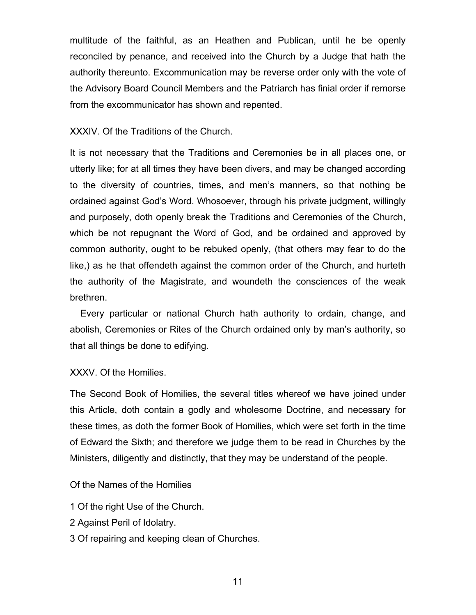multitude of the faithful, as an Heathen and Publican, until he be openly reconciled by penance, and received into the Church by a Judge that hath the authority thereunto. Excommunication may be reverse order only with the vote of the Advisory Board Council Members and the Patriarch has finial order if remorse from the excommunicator has shown and repented.

#### XXXIV. Of the Traditions of the Church.

It is not necessary that the Traditions and Ceremonies be in all places one, or utterly like; for at all times they have been divers, and may be changed according to the diversity of countries, times, and men's manners, so that nothing be ordained against God's Word. Whosoever, through his private judgment, willingly and purposely, doth openly break the Traditions and Ceremonies of the Church, which be not repugnant the Word of God, and be ordained and approved by common authority, ought to be rebuked openly, (that others may fear to do the like,) as he that offendeth against the common order of the Church, and hurteth the authority of the Magistrate, and woundeth the consciences of the weak brethren.

 Every particular or national Church hath authority to ordain, change, and abolish, Ceremonies or Rites of the Church ordained only by man's authority, so that all things be done to edifying.

#### XXXV. Of the Homilies.

The Second Book of Homilies, the several titles whereof we have joined under this Article, doth contain a godly and wholesome Doctrine, and necessary for these times, as doth the former Book of Homilies, which were set forth in the time of Edward the Sixth; and therefore we judge them to be read in Churches by the Ministers, diligently and distinctly, that they may be understand of the people.

#### Of the Names of the Homilies

- 1 Of the right Use of the Church.
- 2 Against Peril of Idolatry.
- 3 Of repairing and keeping clean of Churches.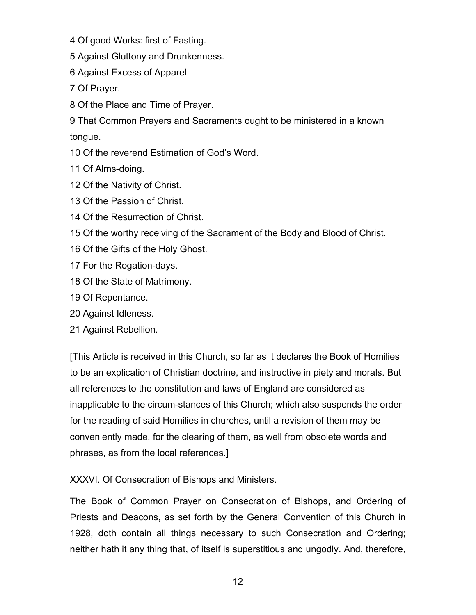- 4 Of good Works: first of Fasting.
- 5 Against Gluttony and Drunkenness.
- 6 Against Excess of Apparel
- 7 Of Prayer.
- 8 Of the Place and Time of Prayer.

9 That Common Prayers and Sacraments ought to be ministered in a known tongue.

- 10 Of the reverend Estimation of God's Word.
- 11 Of Alms-doing.
- 12 Of the Nativity of Christ.
- 13 Of the Passion of Christ.
- 14 Of the Resurrection of Christ.
- 15 Of the worthy receiving of the Sacrament of the Body and Blood of Christ.
- 16 Of the Gifts of the Holy Ghost.
- 17 For the Rogation-days.
- 18 Of the State of Matrimony.
- 19 Of Repentance.
- 20 Against Idleness.
- 21 Against Rebellion.

[This Article is received in this Church, so far as it declares the Book of Homilies to be an explication of Christian doctrine, and instructive in piety and morals. But all references to the constitution and laws of England are considered as inapplicable to the circum-stances of this Church; which also suspends the order for the reading of said Homilies in churches, until a revision of them may be conveniently made, for the clearing of them, as well from obsolete words and phrases, as from the local references.]

XXXVI. Of Consecration of Bishops and Ministers.

The Book of Common Prayer on Consecration of Bishops, and Ordering of Priests and Deacons, as set forth by the General Convention of this Church in 1928, doth contain all things necessary to such Consecration and Ordering; neither hath it any thing that, of itself is superstitious and ungodly. And, therefore,